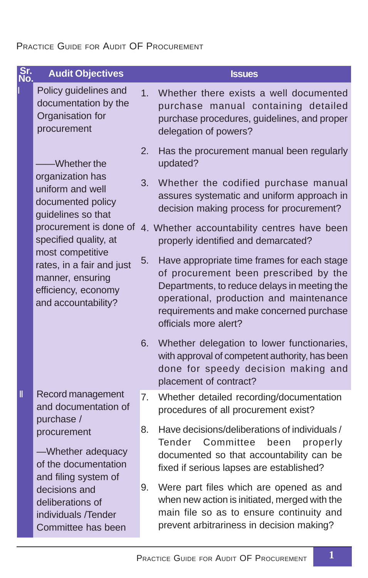## PRACTICE GUIDE FOR AUDIT OF PROCUREMENT

| Sr.<br>No. | <b>Audit Objectives</b>                                                                                         |                | <b>Issues</b>                                                                                                                                                                                                                                        |
|------------|-----------------------------------------------------------------------------------------------------------------|----------------|------------------------------------------------------------------------------------------------------------------------------------------------------------------------------------------------------------------------------------------------------|
|            | Policy guidelines and<br>documentation by the<br>Organisation for<br>procurement                                | 1 <sup>1</sup> | Whether there exists a well documented<br>purchase manual containing detailed<br>purchase procedures, guidelines, and proper<br>delegation of powers?                                                                                                |
|            | -Whether the                                                                                                    | 2.             | Has the procurement manual been regularly<br>updated?                                                                                                                                                                                                |
|            | organization has<br>uniform and well<br>documented policy<br>guidelines so that                                 | 3.             | Whether the codified purchase manual<br>assures systematic and uniform approach in<br>decision making process for procurement?                                                                                                                       |
|            | procurement is done of<br>specified quality, at                                                                 |                | 4. Whether accountability centres have been<br>properly identified and demarcated?                                                                                                                                                                   |
|            | most competitive<br>rates, in a fair and just<br>manner, ensuring<br>efficiency, economy<br>and accountability? | 5.             | Have appropriate time frames for each stage<br>of procurement been prescribed by the<br>Departments, to reduce delays in meeting the<br>operational, production and maintenance<br>requirements and make concerned purchase<br>officials more alert? |
|            |                                                                                                                 | 6.             | Whether delegation to lower functionaries,<br>with approval of competent authority, has been<br>done for speedy decision making and<br>placement of contract?                                                                                        |
| Ш          | Record management<br>and documentation of<br>purchase /                                                         | 7.             | Whether detailed recording/documentation<br>procedures of all procurement exist?                                                                                                                                                                     |
|            | procurement<br>-Whether adequacy<br>of the documentation<br>and filing system of                                | 8.             | Have decisions/deliberations of individuals /<br>Tender<br>Committee<br>properly<br>been<br>documented so that accountability can be<br>fixed if serious lapses are established?                                                                     |
|            | decisions and<br>deliberations of<br>individuals /Tender<br>Committee has been                                  | 9.             | Were part files which are opened as and<br>when new action is initiated, merged with the<br>main file so as to ensure continuity and<br>prevent arbitrariness in decision making?                                                                    |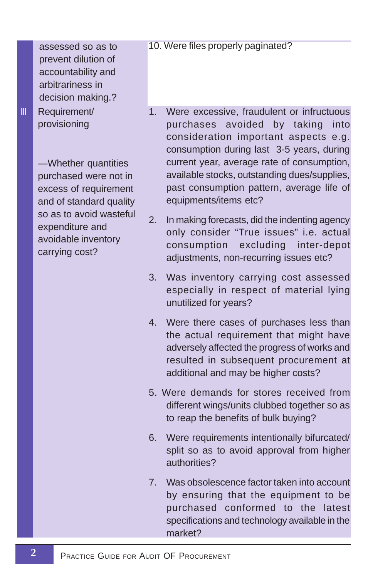assessed so as to prevent dilution of accountability and arbitrariness in decision making.? III Requirement/ provisioning

> —Whether quantities purchased were not in excess of requirement and of standard quality so as to avoid wasteful expenditure and avoidable inventory carrying cost?

### 10. Were files properly paginated?

- 1. Were excessive, fraudulent or infructuous purchases avoided by taking into consideration important aspects e.g. consumption during last 3-5 years, during current year, average rate of consumption, available stocks, outstanding dues/supplies, past consumption pattern, average life of equipments/items etc?
- 2. In making forecasts, did the indenting agency only consider "True issues" i.e. actual consumption excluding inter-depot adjustments, non-recurring issues etc?
- 3. Was inventory carrying cost assessed especially in respect of material lying unutilized for years?
- 4. Were there cases of purchases less than the actual requirement that might have adversely affected the progress of works and resulted in subsequent procurement at additional and may be higher costs?
- 5. Were demands for stores received from different wings/units clubbed together so as to reap the benefits of bulk buying?
- 6. Were requirements intentionally bifurcated/ split so as to avoid approval from higher authorities?
- 7. Was obsolescence factor taken into account by ensuring that the equipment to be purchased conformed to the latest specifications and technology available in the market?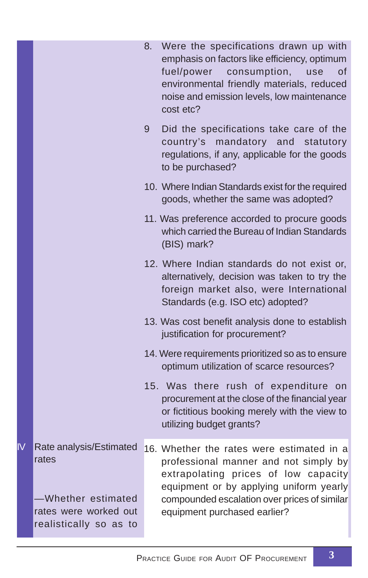|                |                                                                                                           | 8. | Were the specifications drawn up with<br>emphasis on factors like efficiency, optimum<br>fuel/power<br>consumption,<br>of<br>use<br>environmental friendly materials, reduced<br>noise and emission levels, low maintenance<br>cost etc?              |
|----------------|-----------------------------------------------------------------------------------------------------------|----|-------------------------------------------------------------------------------------------------------------------------------------------------------------------------------------------------------------------------------------------------------|
|                |                                                                                                           | 9  | Did the specifications take care of the<br>country's mandatory and statutory<br>regulations, if any, applicable for the goods<br>to be purchased?                                                                                                     |
|                |                                                                                                           |    | 10. Where Indian Standards exist for the required<br>goods, whether the same was adopted?                                                                                                                                                             |
|                |                                                                                                           |    | 11. Was preference accorded to procure goods<br>which carried the Bureau of Indian Standards<br>(BIS) mark?                                                                                                                                           |
|                |                                                                                                           |    | 12. Where Indian standards do not exist or,<br>alternatively, decision was taken to try the<br>foreign market also, were International<br>Standards (e.g. ISO etc) adopted?                                                                           |
|                |                                                                                                           |    | 13. Was cost benefit analysis done to establish<br>justification for procurement?                                                                                                                                                                     |
|                |                                                                                                           |    | 14. Were requirements prioritized so as to ensure<br>optimum utilization of scarce resources?                                                                                                                                                         |
|                |                                                                                                           |    | 15. Was there rush of expenditure on<br>procurement at the close of the financial year<br>or fictitious booking merely with the view to<br>utilizing budget grants?                                                                                   |
| $\overline{N}$ | Rate analysis/Estimated<br>rates<br>-Whether estimated<br>rates were worked out<br>realistically so as to |    | 16. Whether the rates were estimated in a<br>professional manner and not simply by<br>extrapolating prices of low capacity<br>equipment or by applying uniform yearly<br>compounded escalation over prices of similar<br>equipment purchased earlier? |
|                |                                                                                                           |    |                                                                                                                                                                                                                                                       |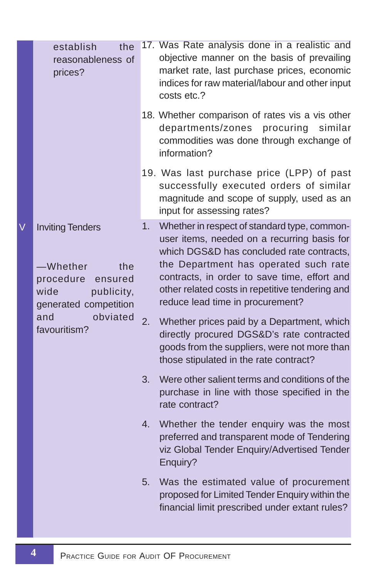|   | establish<br>the<br>reasonableness of<br>prices?                                                                                                     |    | 17. Was Rate analysis done in a realistic and<br>objective manner on the basis of prevailing<br>market rate, last purchase prices, economic<br>indices for raw material/labour and other input<br>costs etc.?                                                                                                            |
|---|------------------------------------------------------------------------------------------------------------------------------------------------------|----|--------------------------------------------------------------------------------------------------------------------------------------------------------------------------------------------------------------------------------------------------------------------------------------------------------------------------|
|   |                                                                                                                                                      |    | 18. Whether comparison of rates vis a vis other<br>departments/zones procuring<br>similar<br>commodities was done through exchange of<br>information?                                                                                                                                                                    |
|   |                                                                                                                                                      |    | 19. Was last purchase price (LPP) of past<br>successfully executed orders of similar<br>magnitude and scope of supply, used as an<br>input for assessing rates?                                                                                                                                                          |
| V | <b>Inviting Tenders</b><br>-Whether<br>the<br>procedure<br>ensured<br>wide<br>publicity,<br>generated competition<br>and<br>obviated<br>favouritism? | 1. | Whether in respect of standard type, common-<br>user items, needed on a recurring basis for<br>which DGS&D has concluded rate contracts,<br>the Department has operated such rate<br>contracts, in order to save time, effort and<br>other related costs in repetitive tendering and<br>reduce lead time in procurement? |
|   |                                                                                                                                                      | 2. | Whether prices paid by a Department, which<br>directly procured DGS&D's rate contracted<br>goods from the suppliers, were not more than<br>those stipulated in the rate contract?                                                                                                                                        |
|   |                                                                                                                                                      | 3. | Were other salient terms and conditions of the<br>purchase in line with those specified in the<br>rate contract?                                                                                                                                                                                                         |
|   |                                                                                                                                                      | 4. | Whether the tender enquiry was the most<br>preferred and transparent mode of Tendering<br>viz Global Tender Enquiry/Advertised Tender<br>Enquiry?                                                                                                                                                                        |
|   |                                                                                                                                                      | 5. | Was the estimated value of procurement<br>proposed for Limited Tender Enquiry within the<br>financial limit prescribed under extant rules?                                                                                                                                                                               |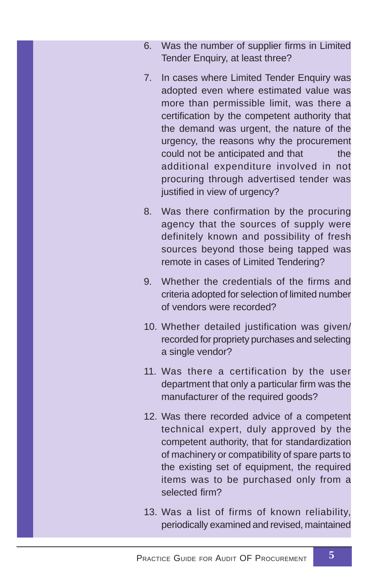- 6. Was the number of supplier firms in Limited Tender Enquiry, at least three?
- 7. In cases where Limited Tender Enquiry was adopted even where estimated value was more than permissible limit, was there a certification by the competent authority that the demand was urgent, the nature of the urgency, the reasons why the procurement could not be anticipated and that the additional expenditure involved in not procuring through advertised tender was justified in view of urgency?
- 8. Was there confirmation by the procuring agency that the sources of supply were definitely known and possibility of fresh sources beyond those being tapped was remote in cases of Limited Tendering?
- 9. Whether the credentials of the firms and criteria adopted for selection of limited number of vendors were recorded?
- 10. Whether detailed justification was given/ recorded for propriety purchases and selecting a single vendor?
- 11. Was there a certification by the user department that only a particular firm was the manufacturer of the required goods?
- 12. Was there recorded advice of a competent technical expert, duly approved by the competent authority, that for standardization of machinery or compatibility of spare parts to the existing set of equipment, the required items was to be purchased only from a selected firm?
- 13. Was a list of firms of known reliability, periodically examined and revised, maintained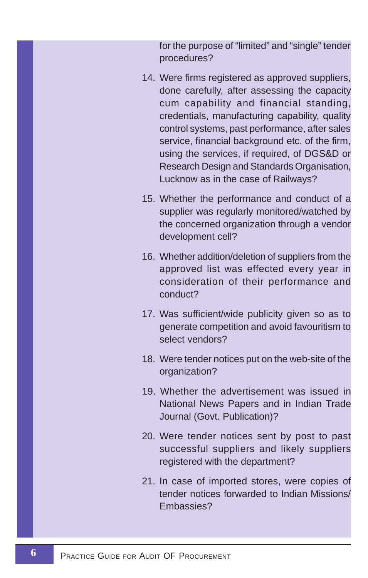for the purpose of "limited" and "single" tender procedures?

- 14. Were firms registered as approved suppliers, done carefully, after assessing the capacity cum capability and financial standing, credentials, manufacturing capability, quality control systems, past performance, after sales service, financial background etc. of the firm, using the services, if required, of DGS&D or Research Design and Standards Organisation, Lucknow as in the case of Railways?
- 15. Whether the performance and conduct of a supplier was regularly monitored/watched by the concerned organization through a vendor development cell?
- 16. Whether addition/deletion of suppliers from the approved list was effected every year in consideration of their performance and conduct?
- 17. Was sufficient/wide publicity given so as to generate competition and avoid favouritism to select vendors?
- 18. Were tender notices put on the web-site of the organization?
- 19. Whether the advertisement was issued in National News Papers and in Indian Trade Journal (Govt. Publication)?
- 20. Were tender notices sent by post to past successful suppliers and likely suppliers registered with the department?
- 21. In case of imported stores, were copies of tender notices forwarded to Indian Missions/ Embassies?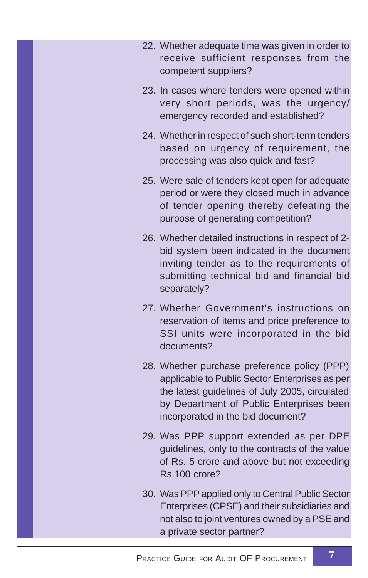- 22. Whether adequate time was given in order to receive sufficient responses from the competent suppliers?
- 23. In cases where tenders were opened within very short periods, was the urgency/ emergency recorded and established?
- 24. Whether in respect of such short-term tenders based on urgency of requirement, the processing was also quick and fast?
- 25. Were sale of tenders kept open for adequate period or were they closed much in advance of tender opening thereby defeating the purpose of generating competition?
- 26. Whether detailed instructions in respect of 2 bid system been indicated in the document inviting tender as to the requirements of submitting technical bid and financial bid separately?
- 27. Whether Government's instructions on reservation of items and price preference to SSI units were incorporated in the bid documents?
- 28. Whether purchase preference policy (PPP) applicable to Public Sector Enterprises as per the latest guidelines of July 2005, circulated by Department of Public Enterprises been incorporated in the bid document?
- 29. Was PPP support extended as per DPE guidelines, only to the contracts of the value of Rs. 5 crore and above but not exceeding Rs.100 crore?
- 30. Was PPP applied only to Central Public Sector Enterprises (CPSE) and their subsidiaries and not also to joint ventures owned by a PSE and a private sector partner?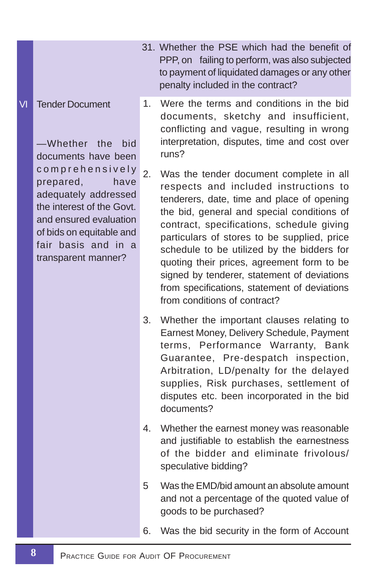#### VI Tender Document

—Whether the bid documents have been comprehensively prepared, have adequately addressed the interest of the Govt. and ensured evaluation of bids on equitable and fair basis and in a transparent manner?

- 31. Whether the PSE which had the benefit of PPP, on failing to perform, was also subjected to payment of liquidated damages or any other penalty included in the contract?
- 1. Were the terms and conditions in the bid documents, sketchy and insufficient, conflicting and vague, resulting in wrong interpretation, disputes, time and cost over runs?
- 2. Was the tender document complete in all respects and included instructions to tenderers, date, time and place of opening the bid, general and special conditions of contract, specifications, schedule giving particulars of stores to be supplied, price schedule to be utilized by the bidders for quoting their prices, agreement form to be signed by tenderer, statement of deviations from specifications, statement of deviations from conditions of contract?
- 3. Whether the important clauses relating to Earnest Money, Delivery Schedule, Payment terms, Performance Warranty, Bank Guarantee, Pre-despatch inspection, Arbitration, LD/penalty for the delayed supplies, Risk purchases, settlement of disputes etc. been incorporated in the bid documents?
- 4. Whether the earnest money was reasonable and justifiable to establish the earnestness of the bidder and eliminate frivolous/ speculative bidding?
- 5 Was the EMD/bid amount an absolute amount and not a percentage of the quoted value of goods to be purchased?
- 6. Was the bid security in the form of Account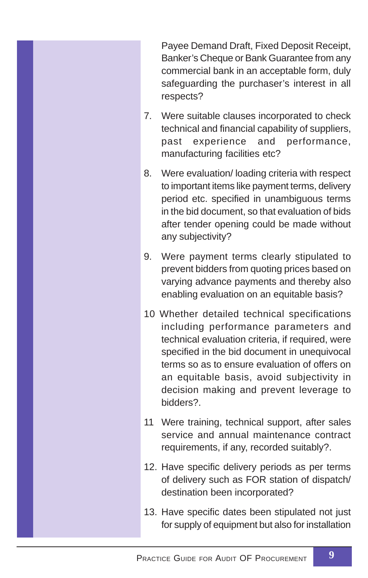Payee Demand Draft, Fixed Deposit Receipt, Banker's Cheque or Bank Guarantee from any commercial bank in an acceptable form, duly safeguarding the purchaser's interest in all respects?

- 7. Were suitable clauses incorporated to check technical and financial capability of suppliers, past experience and performance, manufacturing facilities etc?
- 8. Were evaluation/ loading criteria with respect to important items like payment terms, delivery period etc. specified in unambiguous terms in the bid document, so that evaluation of bids after tender opening could be made without any subjectivity?
- 9. Were payment terms clearly stipulated to prevent bidders from quoting prices based on varying advance payments and thereby also enabling evaluation on an equitable basis?
- 10 Whether detailed technical specifications including performance parameters and technical evaluation criteria, if required, were specified in the bid document in unequivocal terms so as to ensure evaluation of offers on an equitable basis, avoid subjectivity in decision making and prevent leverage to bidders?.
- 11 Were training, technical support, after sales service and annual maintenance contract requirements, if any, recorded suitably?.
- 12. Have specific delivery periods as per terms of delivery such as FOR station of dispatch/ destination been incorporated?
- 13. Have specific dates been stipulated not just for supply of equipment but also for installation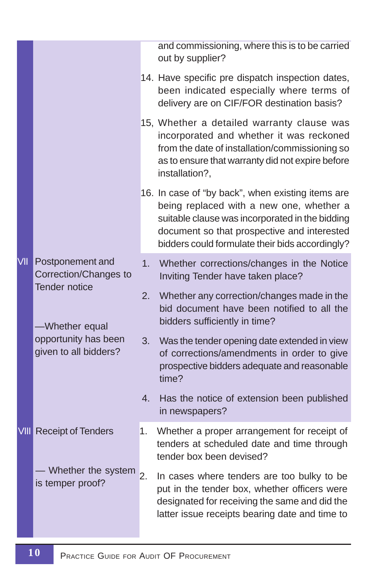|            |                                               |    | and commissioning, where this is to be carried<br>out by supplier?                                                                                                                                                                                 |
|------------|-----------------------------------------------|----|----------------------------------------------------------------------------------------------------------------------------------------------------------------------------------------------------------------------------------------------------|
|            |                                               |    | 14. Have specific pre dispatch inspection dates,<br>been indicated especially where terms of<br>delivery are on CIF/FOR destination basis?                                                                                                         |
|            |                                               |    | 15, Whether a detailed warranty clause was<br>incorporated and whether it was reckoned<br>from the date of installation/commissioning so<br>as to ensure that warranty did not expire before<br>installation?,                                     |
|            |                                               |    | 16. In case of "by back", when existing items are<br>being replaced with a new one, whether a<br>suitable clause was incorporated in the bidding<br>document so that prospective and interested<br>bidders could formulate their bids accordingly? |
| <b>VII</b> | Postponement and<br>Correction/Changes to     | 1. | Whether corrections/changes in the Notice<br>Inviting Tender have taken place?                                                                                                                                                                     |
|            | <b>Tender notice</b><br>-Whether equal        | 2. | Whether any correction/changes made in the<br>bid document have been notified to all the<br>bidders sufficiently in time?                                                                                                                          |
|            | opportunity has been<br>given to all bidders? | 3. | Was the tender opening date extended in view<br>of corrections/amendments in order to give<br>prospective bidders adequate and reasonable<br>time?                                                                                                 |
|            |                                               | 4. | Has the notice of extension been published<br>in newspapers?                                                                                                                                                                                       |
|            | <b>VIII</b> Receipt of Tenders                | 1. | Whether a proper arrangement for receipt of<br>tenders at scheduled date and time through<br>tender box been devised?                                                                                                                              |
|            | - Whether the system<br>is temper proof?      | 2. | In cases where tenders are too bulky to be<br>put in the tender box, whether officers were<br>designated for receiving the same and did the<br>latter issue receipts bearing date and time to                                                      |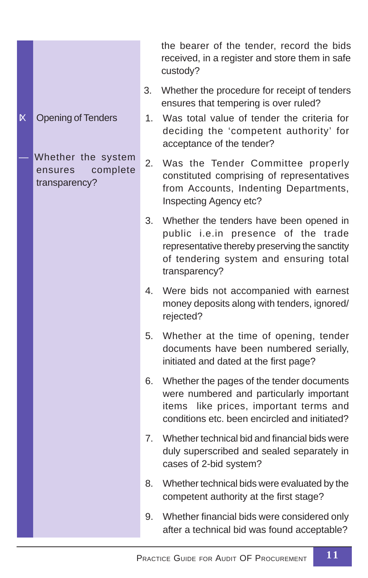**K** Opening of Tenders

Whether the system ensures complete transparency?

the bearer of the tender, record the bids received, in a register and store them in safe custody?

- 3. Whether the procedure for receipt of tenders ensures that tempering is over ruled?
- 1. Was total value of tender the criteria for deciding the 'competent authority' for acceptance of the tender?
- 2. Was the Tender Committee properly constituted comprising of representatives from Accounts, Indenting Departments, Inspecting Agency etc?
- 3. Whether the tenders have been opened in public i.e.in presence of the trade representative thereby preserving the sanctity of tendering system and ensuring total transparency?
- 4. Were bids not accompanied with earnest money deposits along with tenders, ignored/ rejected?
- 5. Whether at the time of opening, tender documents have been numbered serially, initiated and dated at the first page?
- 6. Whether the pages of the tender documents were numbered and particularly important items like prices, important terms and conditions etc. been encircled and initiated?
- 7. Whether technical bid and financial bids were duly superscribed and sealed separately in cases of 2-bid system?
- 8. Whether technical bids were evaluated by the competent authority at the first stage?
- 9. Whether financial bids were considered only after a technical bid was found acceptable?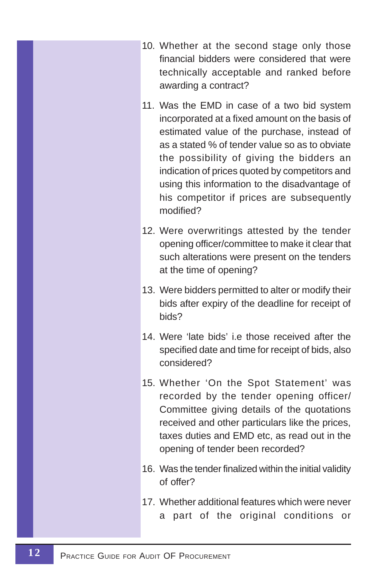- 10. Whether at the second stage only those financial bidders were considered that were technically acceptable and ranked before awarding a contract?
- 11. Was the EMD in case of a two bid system incorporated at a fixed amount on the basis of estimated value of the purchase, instead of as a stated % of tender value so as to obviate the possibility of giving the bidders an indication of prices quoted by competitors and using this information to the disadvantage of his competitor if prices are subsequently modified?
- 12. Were overwritings attested by the tender opening officer/committee to make it clear that such alterations were present on the tenders at the time of opening?
- 13. Were bidders permitted to alter or modify their bids after expiry of the deadline for receipt of bids?
- 14. Were 'late bids' i.e those received after the specified date and time for receipt of bids, also considered?
- 15. Whether 'On the Spot Statement' was recorded by the tender opening officer/ Committee giving details of the quotations received and other particulars like the prices, taxes duties and EMD etc, as read out in the opening of tender been recorded?
- 16. Was the tender finalized within the initial validity of offer?
- 17. Whether additional features which were never a part of the original conditions or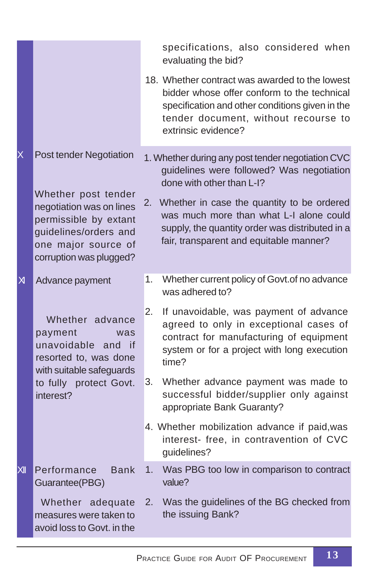|              |                                                                                                                                                                                |    | specifications, also considered when<br>evaluating the bid?                                                                                                                                                                                                                                                        |
|--------------|--------------------------------------------------------------------------------------------------------------------------------------------------------------------------------|----|--------------------------------------------------------------------------------------------------------------------------------------------------------------------------------------------------------------------------------------------------------------------------------------------------------------------|
|              |                                                                                                                                                                                |    | 18. Whether contract was awarded to the lowest<br>bidder whose offer conform to the technical<br>specification and other conditions given in the<br>tender document, without recourse to<br>extrinsic evidence?                                                                                                    |
| X            | Post tender Negotiation<br>Whether post tender<br>negotiation was on lines<br>permissible by extant<br>guidelines/orders and<br>one major source of<br>corruption was plugged? | 2. | 1. Whether during any post tender negotiation CVC<br>guidelines were followed? Was negotiation<br>done with other than L-I?<br>Whether in case the quantity to be ordered<br>was much more than what L-I alone could<br>supply, the quantity order was distributed in a<br>fair, transparent and equitable manner? |
| $\mathsf{M}$ | Advance payment                                                                                                                                                                | 1. | Whether current policy of Govt.of no advance<br>was adhered to?                                                                                                                                                                                                                                                    |
|              | Whether advance<br>payment<br>was<br>unavoidable and if<br>resorted to, was done<br>with suitable safeguards                                                                   | 2. | If unavoidable, was payment of advance<br>agreed to only in exceptional cases of<br>contract for manufacturing of equipment<br>system or for a project with long execution<br>time?                                                                                                                                |
|              | to fully protect Govt.<br>interest?                                                                                                                                            | 3. | Whether advance payment was made to<br>successful bidder/supplier only against<br>appropriate Bank Guaranty?                                                                                                                                                                                                       |
|              |                                                                                                                                                                                |    | 4. Whether mobilization advance if paid, was<br>interest- free, in contravention of CVC<br>guidelines?                                                                                                                                                                                                             |
| X            | Performance<br><b>Bank</b><br>Guarantee(PBG)                                                                                                                                   | 1. | Was PBG too low in comparison to contract<br>value?                                                                                                                                                                                                                                                                |
|              | Whether adequate<br>measures were taken to<br>avoid loss to Govt, in the                                                                                                       | 2. | Was the guidelines of the BG checked from<br>the issuing Bank?                                                                                                                                                                                                                                                     |
|              |                                                                                                                                                                                |    |                                                                                                                                                                                                                                                                                                                    |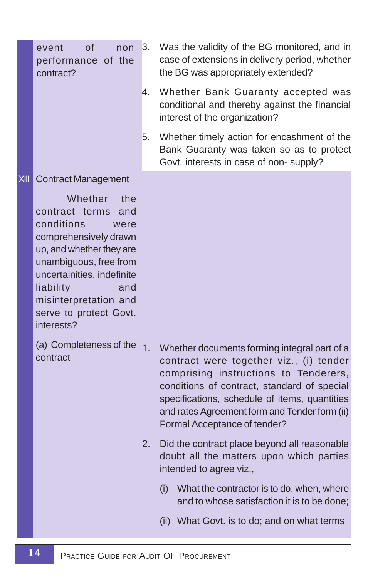event of non performance of the contract?

- 3. Was the validity of the BG monitored, and in case of extensions in delivery period, whether the BG was appropriately extended?
- 4. Whether Bank Guaranty accepted was conditional and thereby against the financial interest of the organization?
- 5. Whether timely action for encashment of the Bank Guaranty was taken so as to protect Govt. interests in case of non- supply?

#### XIII Contract Management

Whether the contract terms and conditions were comprehensively drawn up, and whether they are unambiguous, free from uncertainities, indefinite liability and misinterpretation and serve to protect Govt. interests?

(a) Completeness of the 1 contract

- Whether documents forming integral part of a contract were together viz., (i) tender comprising instructions to Tenderers, conditions of contract, standard of special specifications, schedule of items, quantities and rates Agreement form and Tender form (ii) Formal Acceptance of tender?
- 2. Did the contract place beyond all reasonable doubt all the matters upon which parties intended to agree viz.,
	- (i) What the contractor is to do, when, where and to whose satisfaction it is to be done;
	- (ii) What Govt. is to do; and on what terms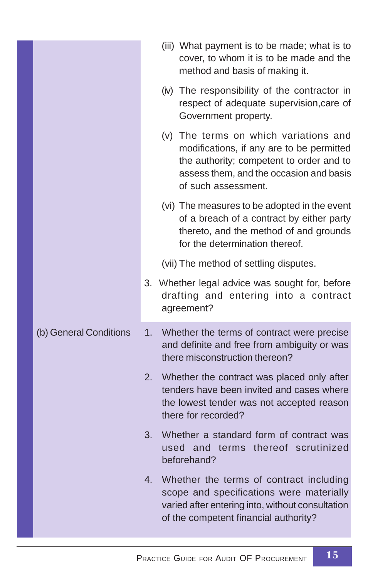|                        | (iii) What payment is to be made; what is to<br>cover, to whom it is to be made and the<br>method and basis of making it.                                                                        |
|------------------------|--------------------------------------------------------------------------------------------------------------------------------------------------------------------------------------------------|
|                        | (iv) The responsibility of the contractor in<br>respect of adequate supervision, care of<br>Government property.                                                                                 |
|                        | (v) The terms on which variations and<br>modifications, if any are to be permitted<br>the authority; competent to order and to<br>assess them, and the occasion and basis<br>of such assessment. |
|                        | (vi) The measures to be adopted in the event<br>of a breach of a contract by either party<br>thereto, and the method of and grounds<br>for the determination thereof.                            |
|                        | (vii) The method of settling disputes.                                                                                                                                                           |
|                        | 3. Whether legal advice was sought for, before<br>drafting and entering into a contract<br>agreement?                                                                                            |
| (b) General Conditions | 1.<br>Whether the terms of contract were precise<br>and definite and free from ambiguity or was<br>there misconstruction thereon?                                                                |
|                        | 2.<br>Whether the contract was placed only after<br>tenders have been invited and cases where<br>the lowest tender was not accepted reason<br>there for recorded?                                |
|                        | Whether a standard form of contract was<br>3.<br>used and terms thereof scrutinized<br>beforehand?                                                                                               |
|                        | 4.<br>Whether the terms of contract including<br>scope and specifications were materially<br>varied after entering into, without consultation<br>of the competent financial authority?           |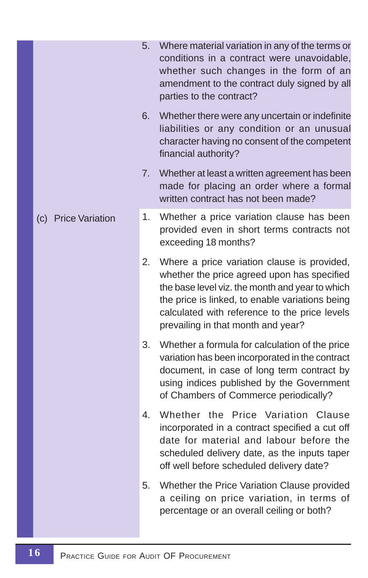|                     | 5. | Where material variation in any of the terms or<br>conditions in a contract were unavoidable,<br>whether such changes in the form of an<br>amendment to the contract duly signed by all<br>parties to the contract?                                                                     |
|---------------------|----|-----------------------------------------------------------------------------------------------------------------------------------------------------------------------------------------------------------------------------------------------------------------------------------------|
|                     | 6. | Whether there were any uncertain or indefinite<br>liabilities or any condition or an unusual<br>character having no consent of the competent<br>financial authority?                                                                                                                    |
|                     | 7. | Whether at least a written agreement has been<br>made for placing an order where a formal<br>written contract has not been made?                                                                                                                                                        |
| (c) Price Variation | 1. | Whether a price variation clause has been<br>provided even in short terms contracts not<br>exceeding 18 months?                                                                                                                                                                         |
|                     | 2. | Where a price variation clause is provided,<br>whether the price agreed upon has specified<br>the base level viz. the month and year to which<br>the price is linked, to enable variations being<br>calculated with reference to the price levels<br>prevailing in that month and year? |
|                     | 3. | Whether a formula for calculation of the price<br>variation has been incorporated in the contract<br>document, in case of long term contract by<br>using indices published by the Government<br>of Chambers of Commerce periodically?                                                   |
|                     | 4. | Whether the Price Variation Clause<br>incorporated in a contract specified a cut off<br>date for material and labour before the<br>scheduled delivery date, as the inputs taper<br>off well before scheduled delivery date?                                                             |
|                     | 5. | Whether the Price Variation Clause provided<br>a ceiling on price variation, in terms of<br>percentage or an overall ceiling or both?                                                                                                                                                   |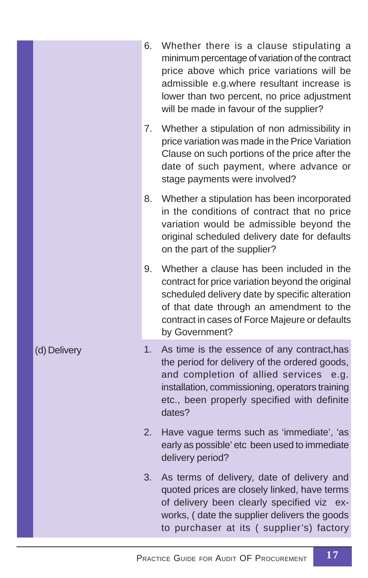|              | 6. | Whether there is a clause stipulating a<br>minimum percentage of variation of the contract<br>price above which price variations will be<br>admissible e.g.where resultant increase is<br>lower than two percent, no price adjustment<br>will be made in favour of the supplier? |
|--------------|----|----------------------------------------------------------------------------------------------------------------------------------------------------------------------------------------------------------------------------------------------------------------------------------|
|              | 7. | Whether a stipulation of non admissibility in<br>price variation was made in the Price Variation<br>Clause on such portions of the price after the<br>date of such payment, where advance or<br>stage payments were involved?                                                    |
|              | 8. | Whether a stipulation has been incorporated<br>in the conditions of contract that no price<br>variation would be admissible beyond the<br>original scheduled delivery date for defaults<br>on the part of the supplier?                                                          |
|              | 9. | Whether a clause has been included in the<br>contract for price variation beyond the original<br>scheduled delivery date by specific alteration<br>of that date through an amendment to the<br>contract in cases of Force Majeure or defaults<br>by Government?                  |
| (d) Delivery | 1. | As time is the essence of any contract, has<br>the period for delivery of the ordered goods,<br>and completion of allied services<br>e.q.<br>installation, commissioning, operators training<br>etc., been properly specified with definite<br>dates?                            |
|              | 2. | Have vague terms such as 'immediate', 'as<br>early as possible' etc been used to immediate<br>delivery period?                                                                                                                                                                   |
|              | 3. | As terms of delivery, date of delivery and<br>quoted prices are closely linked, have terms<br>of delivery been clearly specified viz ex-<br>works, (date the supplier delivers the goods<br>to purchaser at its (supplier's) factory                                             |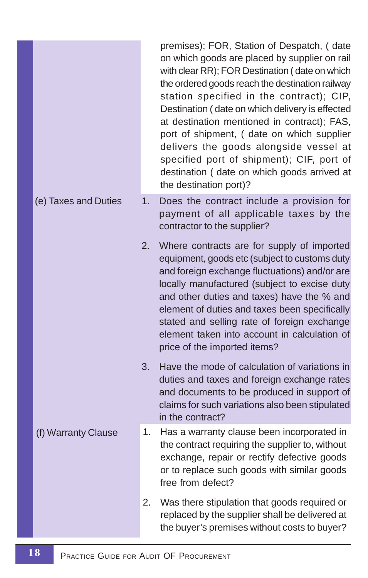|                      |    | premises); FOR, Station of Despatch, (date<br>on which goods are placed by supplier on rail<br>with clear RR); FOR Destination (date on which<br>the ordered goods reach the destination railway<br>station specified in the contract); CIP,<br>Destination (date on which delivery is effected<br>at destination mentioned in contract); FAS,<br>port of shipment, ( date on which supplier<br>delivers the goods alongside vessel at<br>specified port of shipment); CIF, port of<br>destination ( date on which goods arrived at<br>the destination port)? |
|----------------------|----|---------------------------------------------------------------------------------------------------------------------------------------------------------------------------------------------------------------------------------------------------------------------------------------------------------------------------------------------------------------------------------------------------------------------------------------------------------------------------------------------------------------------------------------------------------------|
| (e) Taxes and Duties | 1. | Does the contract include a provision for<br>payment of all applicable taxes by the<br>contractor to the supplier?                                                                                                                                                                                                                                                                                                                                                                                                                                            |
|                      | 2. | Where contracts are for supply of imported<br>equipment, goods etc (subject to customs duty<br>and foreign exchange fluctuations) and/or are<br>locally manufactured (subject to excise duty<br>and other duties and taxes) have the % and<br>element of duties and taxes been specifically<br>stated and selling rate of foreign exchange<br>element taken into account in calculation of<br>price of the imported items?                                                                                                                                    |
|                      | 3. | Have the mode of calculation of variations in<br>duties and taxes and foreign exchange rates<br>and documents to be produced in support of<br>claims for such variations also been stipulated<br>in the contract?                                                                                                                                                                                                                                                                                                                                             |
| (f) Warranty Clause  | 1. | Has a warranty clause been incorporated in<br>the contract requiring the supplier to, without<br>exchange, repair or rectify defective goods<br>or to replace such goods with similar goods<br>free from defect?                                                                                                                                                                                                                                                                                                                                              |
|                      | 2. | Was there stipulation that goods required or<br>replaced by the supplier shall be delivered at<br>the buyer's premises without costs to buyer?                                                                                                                                                                                                                                                                                                                                                                                                                |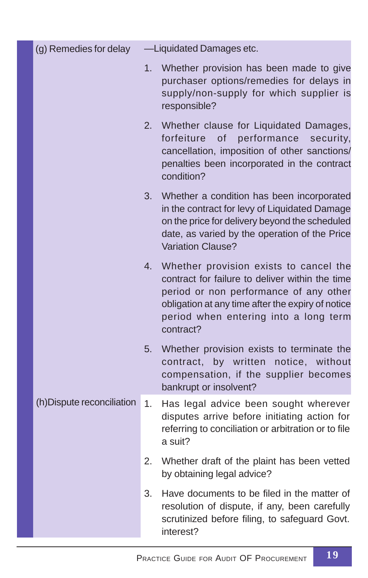| (g) Remedies for delay     |    | -Liquidated Damages etc.                                                                                                                                                                                                                       |
|----------------------------|----|------------------------------------------------------------------------------------------------------------------------------------------------------------------------------------------------------------------------------------------------|
|                            | 1. | Whether provision has been made to give<br>purchaser options/remedies for delays in<br>supply/non-supply for which supplier is<br>responsible?                                                                                                 |
|                            | 2. | Whether clause for Liquidated Damages,<br>forfeiture<br>of performance<br>security,<br>cancellation, imposition of other sanctions/<br>penalties been incorporated in the contract<br>condition?                                               |
|                            | 3. | Whether a condition has been incorporated<br>in the contract for levy of Liquidated Damage<br>on the price for delivery beyond the scheduled<br>date, as varied by the operation of the Price<br>Variation Clause?                             |
|                            | 4. | Whether provision exists to cancel the<br>contract for failure to deliver within the time<br>period or non performance of any other<br>obligation at any time after the expiry of notice<br>period when entering into a long term<br>contract? |
|                            | 5. | Whether provision exists to terminate the<br>by written<br>notice, without<br>contract,<br>compensation, if the supplier becomes<br>bankrupt or insolvent?                                                                                     |
| (h) Dispute reconciliation | 1. | Has legal advice been sought wherever<br>disputes arrive before initiating action for<br>referring to conciliation or arbitration or to file<br>a suit?                                                                                        |
|                            | 2. | Whether draft of the plaint has been vetted<br>by obtaining legal advice?                                                                                                                                                                      |
|                            | 3. | Have documents to be filed in the matter of<br>resolution of dispute, if any, been carefully<br>scrutinized before filing, to safeguard Govt.<br>interest?                                                                                     |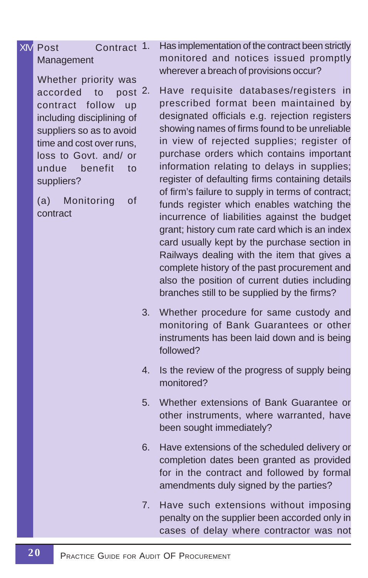# XIV Post Contract 1. Management

 Whether priority was accorded to contract follow up including disciplining of suppliers so as to avoid time and cost over runs, loss to Govt. and/ or undue benefit to suppliers?

(a) Monitoring of contract

Has implementation of the contract been strictly monitored and notices issued promptly wherever a breach of provisions occur?

post 2. Have requisite databases/registers in prescribed format been maintained by designated officials e.g. rejection registers showing names of firms found to be unreliable in view of rejected supplies; register of purchase orders which contains important information relating to delays in supplies; register of defaulting firms containing details of firm's failure to supply in terms of contract; funds register which enables watching the incurrence of liabilities against the budget grant; history cum rate card which is an index card usually kept by the purchase section in Railways dealing with the item that gives a complete history of the past procurement and also the position of current duties including branches still to be supplied by the firms?

- 3. Whether procedure for same custody and monitoring of Bank Guarantees or other instruments has been laid down and is being followed?
- 4. Is the review of the progress of supply being monitored?
- 5. Whether extensions of Bank Guarantee or other instruments, where warranted, have been sought immediately?
- 6. Have extensions of the scheduled delivery or completion dates been granted as provided for in the contract and followed by formal amendments duly signed by the parties?
- 7. Have such extensions without imposing penalty on the supplier been accorded only in cases of delay where contractor was not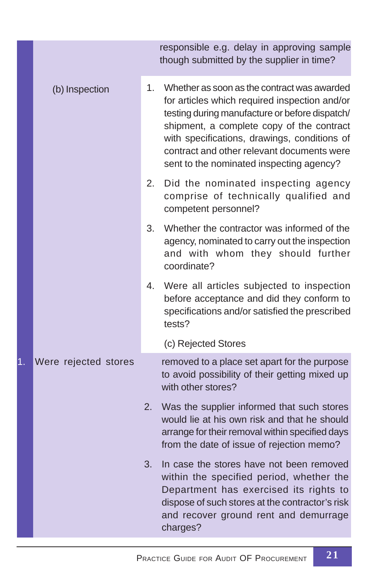|    |                      |    | responsible e.g. delay in approving sample<br>though submitted by the supplier in time?                                                                                                                                                                                                                                               |
|----|----------------------|----|---------------------------------------------------------------------------------------------------------------------------------------------------------------------------------------------------------------------------------------------------------------------------------------------------------------------------------------|
|    | (b) Inspection       | 1. | Whether as soon as the contract was awarded<br>for articles which required inspection and/or<br>testing during manufacture or before dispatch/<br>shipment, a complete copy of the contract<br>with specifications, drawings, conditions of<br>contract and other relevant documents were<br>sent to the nominated inspecting agency? |
|    |                      | 2. | Did the nominated inspecting agency<br>comprise of technically qualified and<br>competent personnel?                                                                                                                                                                                                                                  |
|    |                      | 3. | Whether the contractor was informed of the<br>agency, nominated to carry out the inspection<br>and with whom they should further<br>coordinate?                                                                                                                                                                                       |
|    |                      | 4. | Were all articles subjected to inspection<br>before acceptance and did they conform to<br>specifications and/or satisfied the prescribed<br>tests?                                                                                                                                                                                    |
|    |                      |    | (c) Rejected Stores                                                                                                                                                                                                                                                                                                                   |
| 1. | Were rejected stores |    | removed to a place set apart for the purpose<br>to avoid possibility of their getting mixed up<br>with other stores?                                                                                                                                                                                                                  |
|    |                      | 2. | Was the supplier informed that such stores<br>would lie at his own risk and that he should<br>arrange for their removal within specified days<br>from the date of issue of rejection memo?                                                                                                                                            |
|    |                      | 3. | In case the stores have not been removed<br>within the specified period, whether the<br>Department has exercised its rights to<br>dispose of such stores at the contractor's risk<br>and recover ground rent and demurrage<br>charges?                                                                                                |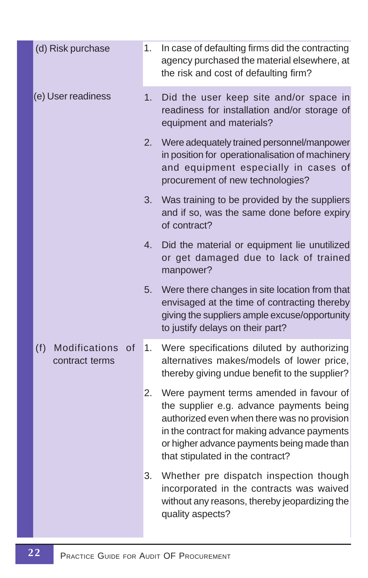| (d) Risk purchase                            | 1. | In case of defaulting firms did the contracting<br>agency purchased the material elsewhere, at<br>the risk and cost of defaulting firm?                                                                                                                             |
|----------------------------------------------|----|---------------------------------------------------------------------------------------------------------------------------------------------------------------------------------------------------------------------------------------------------------------------|
| (e) User readiness                           | 1. | Did the user keep site and/or space in<br>readiness for installation and/or storage of<br>equipment and materials?                                                                                                                                                  |
|                                              | 2. | Were adequately trained personnel/manpower<br>in position for operationalisation of machinery<br>and equipment especially in cases of<br>procurement of new technologies?                                                                                           |
|                                              | 3. | Was training to be provided by the suppliers<br>and if so, was the same done before expiry<br>of contract?                                                                                                                                                          |
|                                              | 4. | Did the material or equipment lie unutilized<br>or get damaged due to lack of trained<br>manpower?                                                                                                                                                                  |
|                                              | 5. | Were there changes in site location from that<br>envisaged at the time of contracting thereby<br>giving the suppliers ample excuse/opportunity<br>to justify delays on their part?                                                                                  |
| (f)<br>Modifications<br>of<br>contract terms | 1. | Were specifications diluted by authorizing<br>alternatives makes/models of lower price,<br>thereby giving undue benefit to the supplier?                                                                                                                            |
|                                              | 2. | Were payment terms amended in favour of<br>the supplier e.g. advance payments being<br>authorized even when there was no provision<br>in the contract for making advance payments<br>or higher advance payments being made than<br>that stipulated in the contract? |
|                                              | 3. | Whether pre dispatch inspection though<br>incorporated in the contracts was waived<br>without any reasons, thereby jeopardizing the<br>quality aspects?                                                                                                             |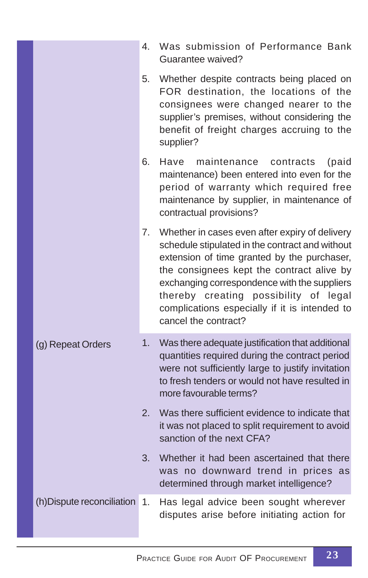|                               | 4. | Was submission of Performance Bank<br>Guarantee waived?                                                                                                                                                                                                                                                                                                         |
|-------------------------------|----|-----------------------------------------------------------------------------------------------------------------------------------------------------------------------------------------------------------------------------------------------------------------------------------------------------------------------------------------------------------------|
|                               | 5. | Whether despite contracts being placed on<br>FOR destination, the locations of the<br>consignees were changed nearer to the<br>supplier's premises, without considering the<br>benefit of freight charges accruing to the<br>supplier?                                                                                                                          |
|                               | 6. | Have<br>maintenance<br>contracts<br>(paid<br>maintenance) been entered into even for the<br>period of warranty which required free<br>maintenance by supplier, in maintenance of<br>contractual provisions?                                                                                                                                                     |
|                               | 7. | Whether in cases even after expiry of delivery<br>schedule stipulated in the contract and without<br>extension of time granted by the purchaser,<br>the consignees kept the contract alive by<br>exchanging correspondence with the suppliers<br>thereby creating possibility of legal<br>complications especially if it is intended to<br>cancel the contract? |
| (g) Repeat Orders             | 1. | Was there adequate justification that additional<br>quantities required during the contract period<br>were not sufficiently large to justify invitation<br>to fresh tenders or would not have resulted in<br>more favourable terms?                                                                                                                             |
|                               | 2. | Was there sufficient evidence to indicate that<br>it was not placed to split requirement to avoid<br>sanction of the next CFA?                                                                                                                                                                                                                                  |
|                               | 3. | Whether it had been ascertained that there<br>was no downward trend in prices as<br>determined through market intelligence?                                                                                                                                                                                                                                     |
| (h) Dispute reconciliation 1. |    | Has legal advice been sought wherever<br>disputes arise before initiating action for                                                                                                                                                                                                                                                                            |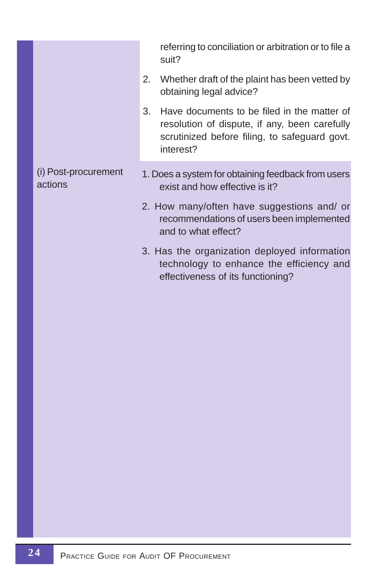|                                 | referring to conciliation or arbitration or to file a<br>suit?                                                                                                   |
|---------------------------------|------------------------------------------------------------------------------------------------------------------------------------------------------------------|
|                                 | Whether draft of the plaint has been vetted by<br>2.<br>obtaining legal advice?                                                                                  |
|                                 | Have documents to be filed in the matter of<br>3.<br>resolution of dispute, if any, been carefully<br>scrutinized before filing, to safeguard govt.<br>interest? |
| (i) Post-procurement<br>actions | 1. Does a system for obtaining feedback from users<br>exist and how effective is it?                                                                             |
|                                 | 2. How many/often have suggestions and/ or<br>recommendations of users been implemented<br>and to what effect?                                                   |
|                                 | 3. Has the organization deployed information<br>technology to enhance the efficiency and<br>effectiveness of its functioning?                                    |